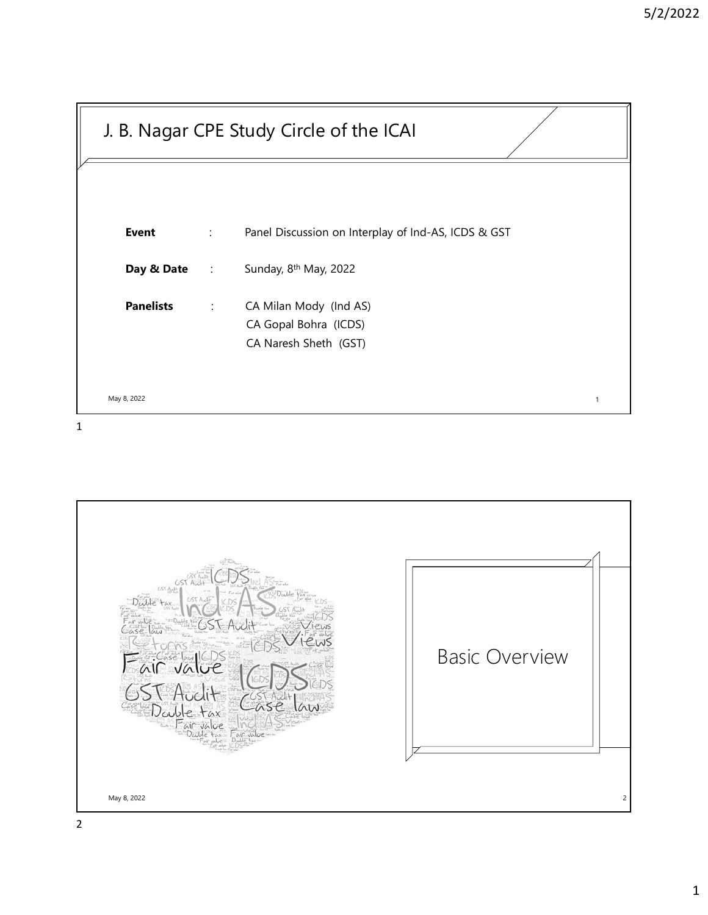|                  |                             | J. B. Nagar CPE Study Circle of the ICAI                                 |  |
|------------------|-----------------------------|--------------------------------------------------------------------------|--|
|                  |                             |                                                                          |  |
| <b>Event</b>     | $\mathbb{C}^{\times}$       | Panel Discussion on Interplay of Ind-AS, ICDS & GST                      |  |
| Day & Date       | $\sim 100$                  | Sunday, 8 <sup>th</sup> May, 2022                                        |  |
| <b>Panelists</b> | $\mathcal{L}^{\mathcal{L}}$ | CA Milan Mody (Ind AS)<br>CA Gopal Bohra (ICDS)<br>CA Naresh Sheth (GST) |  |
| May 8, 2022      |                             | $\overline{1}$                                                           |  |

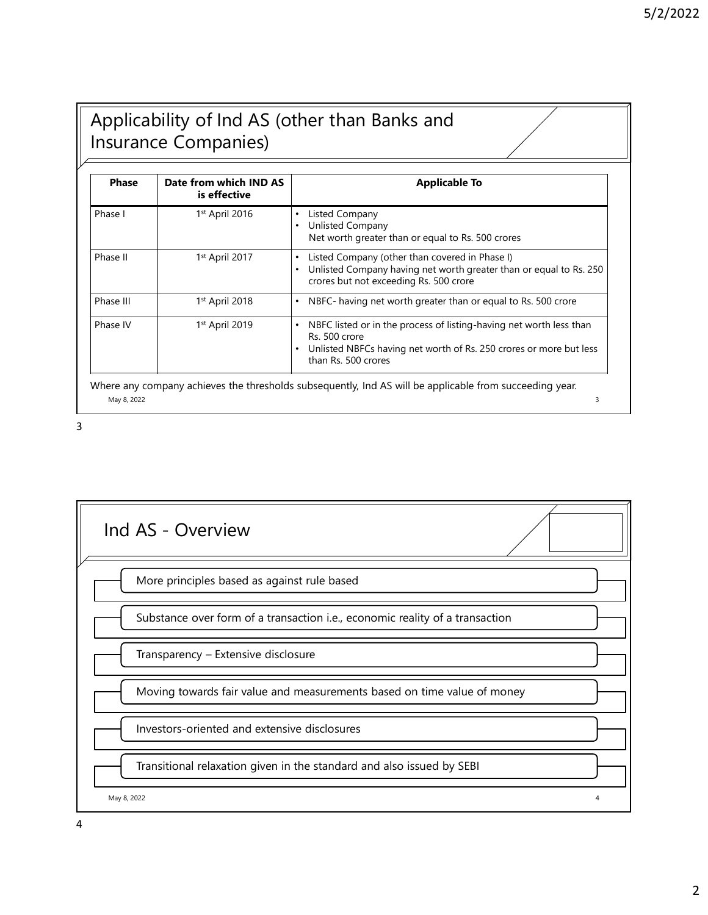## Applicability of Ind AS (other than Banks and Insurance Companies)

| <b>Phase</b> | Insurance Companies)<br>Date from which IND AS | Applicability of Ind AS (other than Banks and<br><b>Applicable To</b>                                                                                                                                                                         |
|--------------|------------------------------------------------|-----------------------------------------------------------------------------------------------------------------------------------------------------------------------------------------------------------------------------------------------|
| Phase I      | is effective<br>1st April 2016                 | <b>Listed Company</b><br>٠<br><b>Unlisted Company</b>                                                                                                                                                                                         |
| Phase II     | 1st April 2017                                 | Net worth greater than or equal to Rs. 500 crores<br>Listed Company (other than covered in Phase I)<br>$\bullet$<br>Unlisted Company having net worth greater than or equal to Rs. 250<br>$\bullet$<br>crores but not exceeding Rs. 500 crore |
| Phase III    | 1st April 2018                                 | • NBFC- having net worth greater than or equal to Rs. 500 crore                                                                                                                                                                               |
| Phase IV     | 1st April 2019                                 | • NBFC listed or in the process of listing-having net worth less than<br>Rs. 500 crore<br>• Unlisted NBFCs having net worth of Rs. 250 crores or more but less<br>than Rs. 500 crores                                                         |
|              |                                                | Where any company achieves the thresholds subsequently, Ind AS will be applicable from succeeding year.                                                                                                                                       |

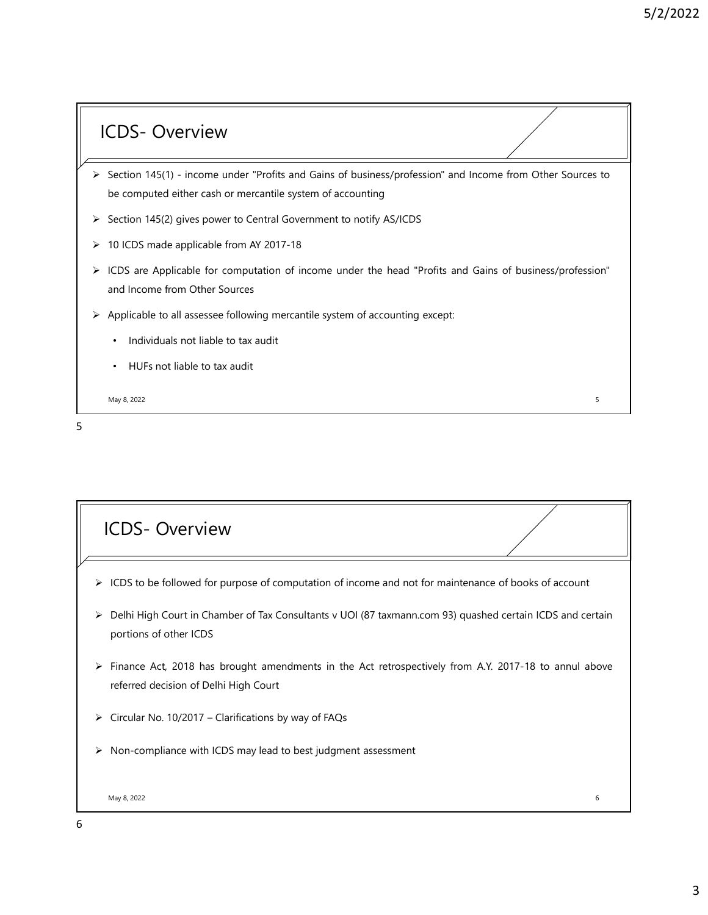- ICDS- Overview<br>
Section 145(1) income under "Profits and Gains of business/profession" and Income from<br>
be computed either cash or mercantile system of accounting S/2/2022<br>
Section 145(1) - income under "Profits and Gains of business/profession" and Income from Other Sources to<br>
be computed either cash or mercantile system of accounting<br>
> Section 145(2) gives power to Central Gover 5/2/2022<br>
CDS – Overview<br>
Section 145(1) - income under "Profits and Gains of business/profession" and Income from Other Sources to<br>
be computed either cash or mercantile system of accounting<br>
Section 145(2) gives power to S/2/2022<br>
Section 145(1) - income under "Profits and Gains of business/profession" and Income from Other Sources to<br>
be computed either cash or mercantile system of accounting<br>
Section 145(2) gives power to Central Governm 10 ICDS made applicable from AY 2017-18 ICDS - Overview<br>
→ Section 145(1) - income under "Profits and Gains of business/profession" and income from Other Sources to<br>
be computed either cash or mercantile system of accounting<br>
→ Section 145(2) gives power to Cen CDS - Overview<br>
Section 145(1) - income under "Profits and Gains of business/profession" and Income from Other Sources<br>
be computed either cash or mercantile system of accounting<br>
Section 145(2) gives power to Central Gove Applicable to all assessee following mercantile system of accounting<br>
→ Section 145(1) - income under "Profits and Gains of business/profession" and income from Other Sources to<br>
→ to computed either cash or mercantile sy
- 
- 
- 
- -
	-

| > 10 ICDS made applicable from AY 2017-18                                                                   |  |
|-------------------------------------------------------------------------------------------------------------|--|
| > ICDS are Applicable for computation of income under the head "Profits and Gains of business/profession"   |  |
| and Income from Other Sources                                                                               |  |
| > Applicable to all assessee following mercantile system of accounting except:                              |  |
| Individuals not liable to tax audit<br>$\bullet$                                                            |  |
| • HUFs not liable to tax audit                                                                              |  |
| May 8, 2022<br>5                                                                                            |  |
|                                                                                                             |  |
|                                                                                                             |  |
|                                                                                                             |  |
|                                                                                                             |  |
| <b>ICDS-Overview</b>                                                                                        |  |
|                                                                                                             |  |
| > ICDS to be followed for purpose of computation of income and not for maintenance of books of account      |  |
| > Delhi High Court in Chamber of Tax Consultants v UOI (87 taxmann.com 93) quashed certain ICDS and certain |  |
| portions of other ICDS                                                                                      |  |
| > Finance Act, 2018 has brought amendments in the Act retrospectively from A.Y. 2017-18 to annul above      |  |
| referred decision of Delhi High Court                                                                       |  |
| > Circular No. 10/2017 - Clarifications by way of FAQs                                                      |  |
| $\triangleright$ Non-compliance with ICDS may lead to best judgment assessment                              |  |
|                                                                                                             |  |
| May 8, 2022<br>6                                                                                            |  |
|                                                                                                             |  |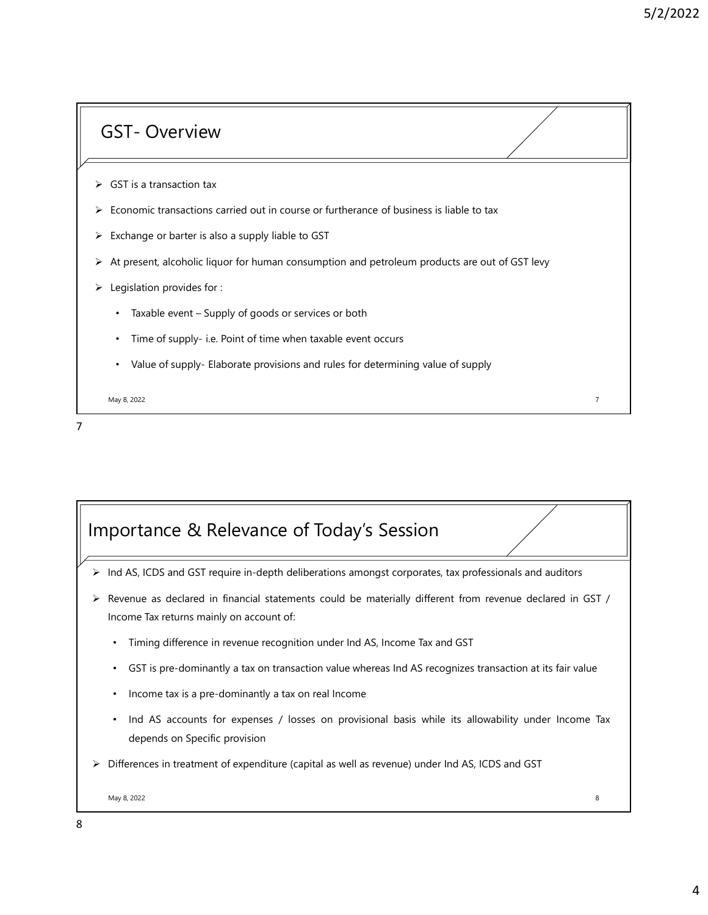- 
- GST- Overview<br>
GST is a transaction tax<br>
For providence of its a transaction tax<br>
For providence of its a transaction tax GST – Overview<br>
> GST is a transaction tax<br>
> Economic transactions carried out in course or furtherance of business is liable to tax<br>
> Exchange or barter is also a supply liable to GST
- 
- Economic transaction tax<br>
FCO CONOMIC SUPPORTED CONTINUES A THE SUPPORTED SUPPORTED A SUPPORTED SUPPORTED A SUPPORTED SUPPORTED A SUPPORTED SUPPORTED SUPPORTED SUPPORTED A SUPPORTED SUPPORTED SUPPORTED SUPPORTED SUPPORTED Example of STT - Overview<br>
Example of STT is a transaction tax<br>
Exchange or barter is also a supply liable to GST<br>
Exchange or barter is also a supply liable to GST<br>
Exchange or barter is also a supply liable to GST<br>
Examp At present, alcoholic liquor for human consumption and petroleum products are out of GST levy<br>
At present, alcoholic liquor for human consumption and petroleum products are out of GST levy<br>
At present, alcoholic liquor for S/2/2022<br>
COST – Overview<br>
Exist is a transaction tax<br>
Legislation for the constructions can be a supply liable to cost<br>
Legislation provides for :<br>
Legislation provides for :<br>
Legislation provides for :<br>
Legislation provi FI - Overview<br>
FST is a transaction tax<br>
FST is a transaction same of time outries of furtherance of business is liable to tax<br>
scheme or barter is also a supply liable to GST<br>
registation provides for :<br>
• Taxable event -FI - Overview<br>
SST is a transaction tax<br>
economic transactions carried out in course or furtherance of business is liable to tax<br>
schange or batter is also a supply liable to GST<br>
egislation provides for the human consumpt
- -
	-
	-

May 8, 2022 7

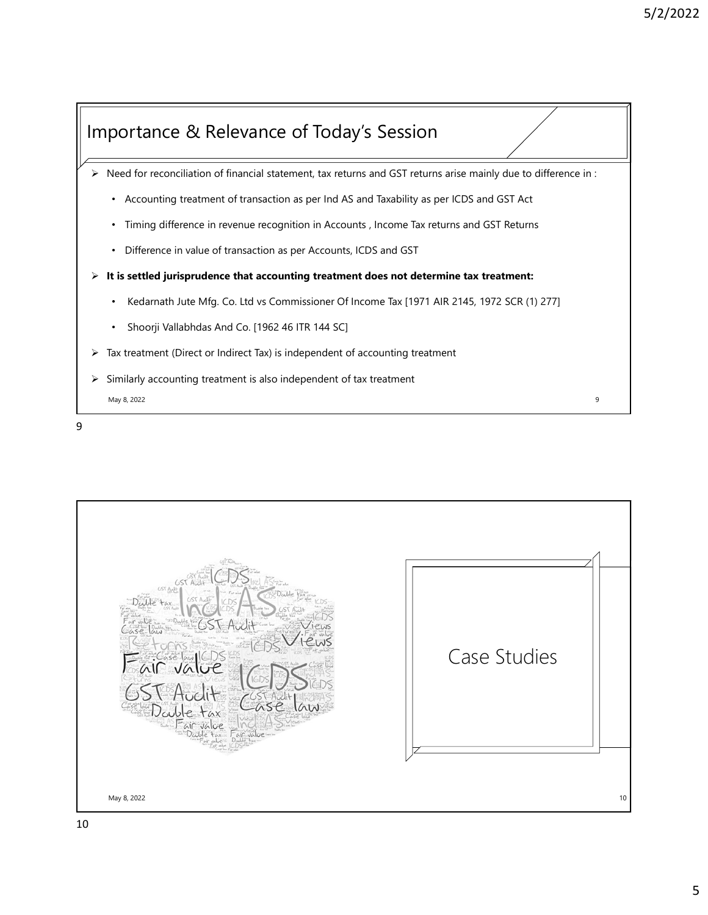

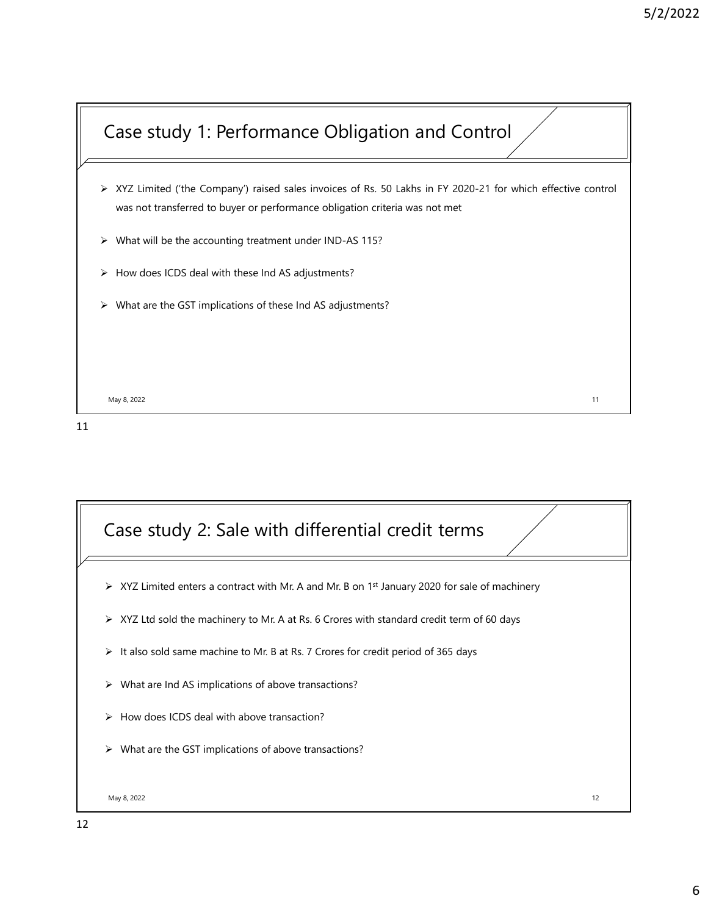# Case study 1: Performance Obligation and Control

- $XYZ$  Limited ('the Company') raised sales invoices of Rs. 50 Lakhs in FY 2020-21 for which effective control<br>
Was not transferred to buyer or performance obligation criteria was not met<br>  $\times$  What will be the accounting t 5/2/2022<br>and transferred to buyer or performance Obligation and Control<br>was not transferred to buyer or performance obligation criteria was not met<br>what will be the accounting treatment under IND-AS 115?<br>How does ICDS deal 5/2/2022<br>
Case study 1: Performance Obligation and Control<br>
XXZ Limited (the Company) raised sales invoices of Rs. 50 Lakhs in FY 2020-21 for which effective control<br>
was not transferred to buyer or performance obligation S/2/:<br>
Case study 1: Performance Obligation and Control<br>
XXZ Limited (the Company) raised sales invoices of Rs. 50 Lakhs in FY 2020-21 for which effective control<br>
was not transferred to buyer or performance obligation cri S/2/2022<br>
Case study 1: Performance Obligation and Control<br>
What will be the Company) raised sales invoices of Rs. 50 Lakhs in FY 2020-21 for which effective control<br>
What will be the accounting treatment under IND-AS 115?
- 
- 
- 

May 8, 2022 11

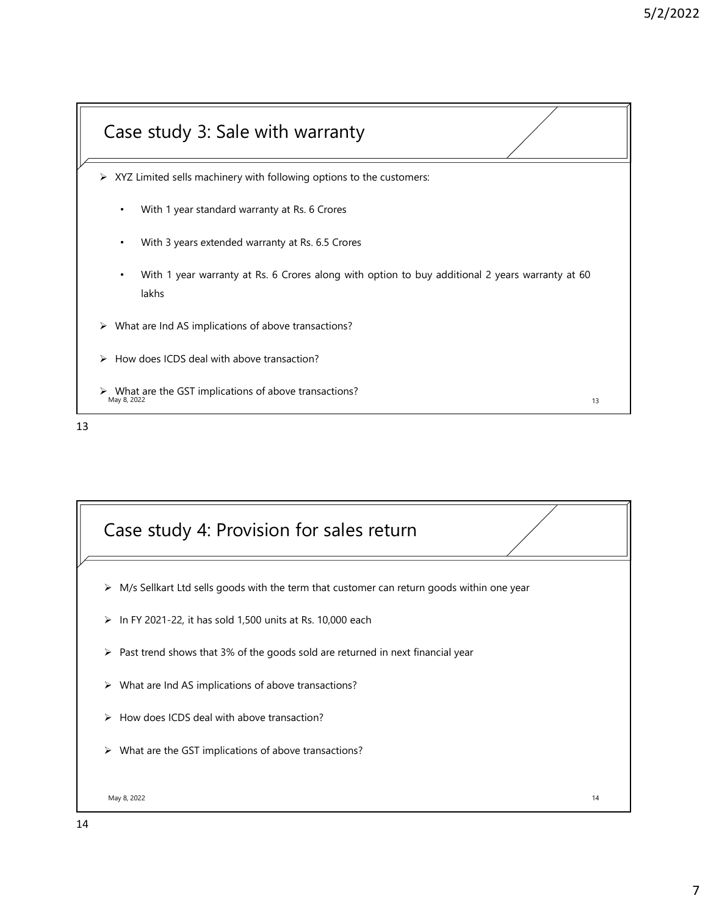# 13 Case study 3: Sale with warranty  $\triangleright$  What are the GST implications of above transactions?<br>May 8, 2022 XYZ Limited sells machinery with following options to the customers:<br>→ XYZ Limited sells machinery with following options to the customers:<br>• With 1 year standard warranty at Rs. 6. 6 Crores<br>• With 1 year warranty at Rs. • With 3 years extended warranty at Rs. 6.5 Crores<br>• With 1 year standard warranty at Rs. 6.5 Crores<br>• With 1 year standard warranty at Rs. 6.5 Crores<br>• With 1 year warranty at Rs. 6 Crores<br>• With 1 year warranty at Rs. 6 • S/2/2022<br>• With 1 year standard warranty with following options to the customers:<br>• With 1 year standard warranty at Rs. 6.5 Crores<br>• With 1 year warranty at Rs. 6 Crores along with option to buy additional 2 years warra lakhs Case study 3: Sale with warranty<br>
≫ XYZ Limited sells machinery with following options to the customers:<br>
• With 1 year standard warranty at Rs. 6 Crores<br>
• With 1 year sextended warranty at Rs. 6 Crores<br>
• With 1 year wa Case study 3: Sale with warranty<br>
→ XYZ Limited sells machinery with following options to the customers:<br>
• With 1 year standard warranty at Rs. 6 Crores<br>
• With 1 year standard warranty at Rs. 6 Crores<br>
• With 1 year war Case study 3: Sale with warranty<br>
→ xyz Limited sells machinery with following options to the customers:<br>
With 1 year standard warranty at Rs. 6. Crores<br>
→ With 1 year standard warranty at Rs. 6. S Crores<br>
→ With 1 year w



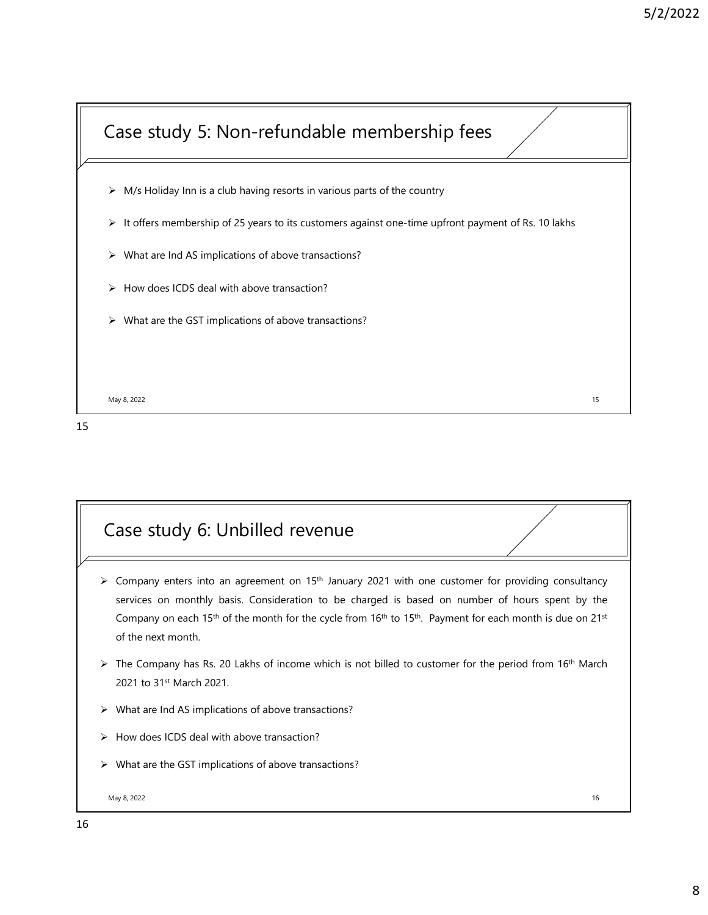

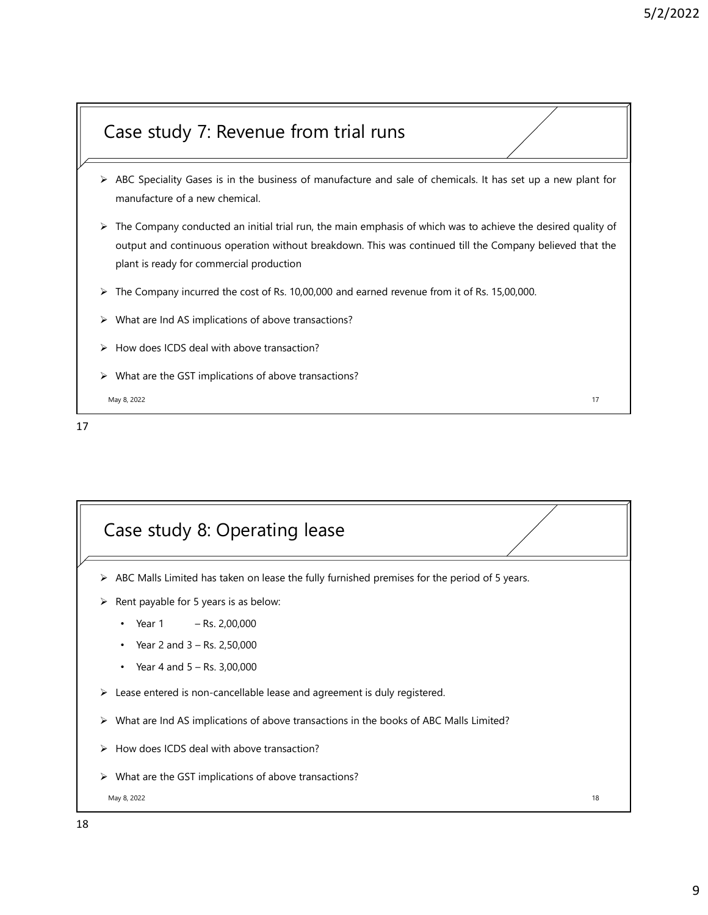### Case study 7: Revenue from trial runs

- 
- ABC Speciality Gases is in the business of manufacture and sale of chemicals. It has set up a new plant for<br>
ABC Speciality Gases is in the business of manufacture and sale of chemicals. It has set up a new plant for<br>
ABC and the study and the business of manufacture and sale of chemicals. It has set up a new plane<br>
ABC Speciality Gases is in the business of manufacture and sale of chemicals. It has set up a new plane<br>
The Company conducted The Company conducted an initial trial runner and sale of chemicals. It has set up a new plant for<br>  $\triangleright$  ABC Speciality Gases is in the business of manufacture and sale of chemicals. It has set up a new plant for<br>  $\triangleright$ 5/2/2022<br> **Southernal continuous operation without and single of chemicals** it has set up a new plant for<br>
manufacture of a new chemical.<br>
The Company conducted an initial trial run, the main emphasis of which was to achie ase study 7: Revenue from trial runs<br>ABC Speciality Gases is in the business of manufacture and sale of chemicals. It has set up a new plant for<br>manufacture of a new chemical.<br>The Company conducted an initial trial run, th S/2/2022<br>
Case study 7: Revenue from trial runs<br>
X ABC Speciality Gases is in the business of manufacture and sale of chemicals. It has set up a new plant for<br>
X The Company conducted an initial trial run, the main emphasi Case study 7: Revenue from trial runs<br>
We are Individually Gases is in the business of manufacture and sale of chemicals. It has set up a new plant for<br>
We are Individually Gases is in the business of manufacture and sale Case study 7: Revenue from trial runs<br>
A BC Speciality Gases is in the business of manufacture and sale of chemicals. It has set up a new plant for<br>
A BC Speciality Gases is in the business of manufacture and sale of chem Case study 7: Revenue from trial runs<br>  $\triangleright$  ABC Speciality Gases is in the business of manufacture and sale of chemicals. It has set up a new plant for<br>  $\triangleright$  The Company conducted an initial trial run, the main emphas
- 
- 
- 
- 

May 8, 2022

17

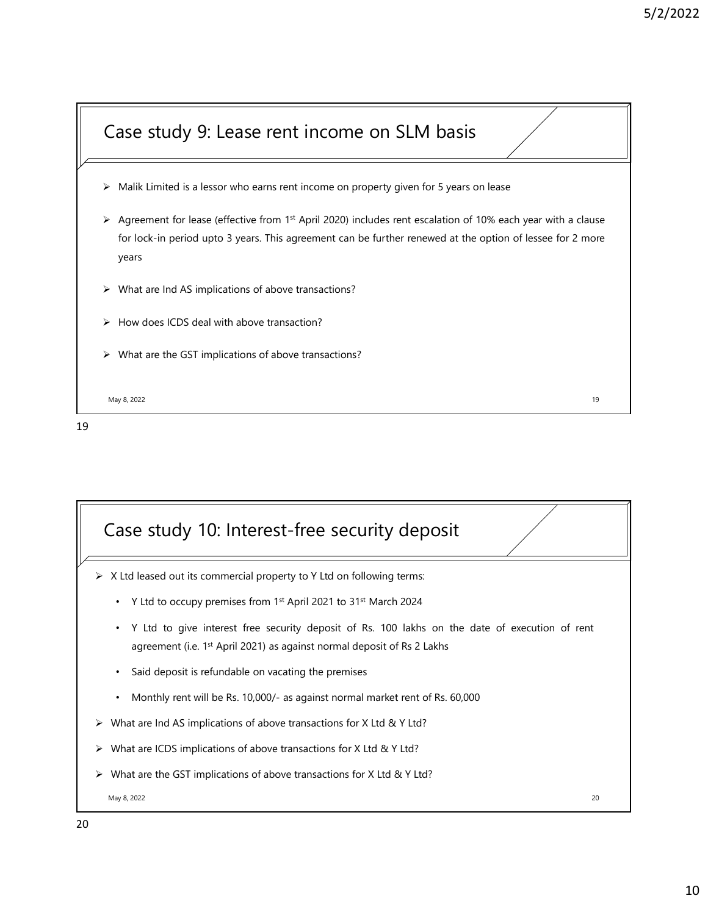

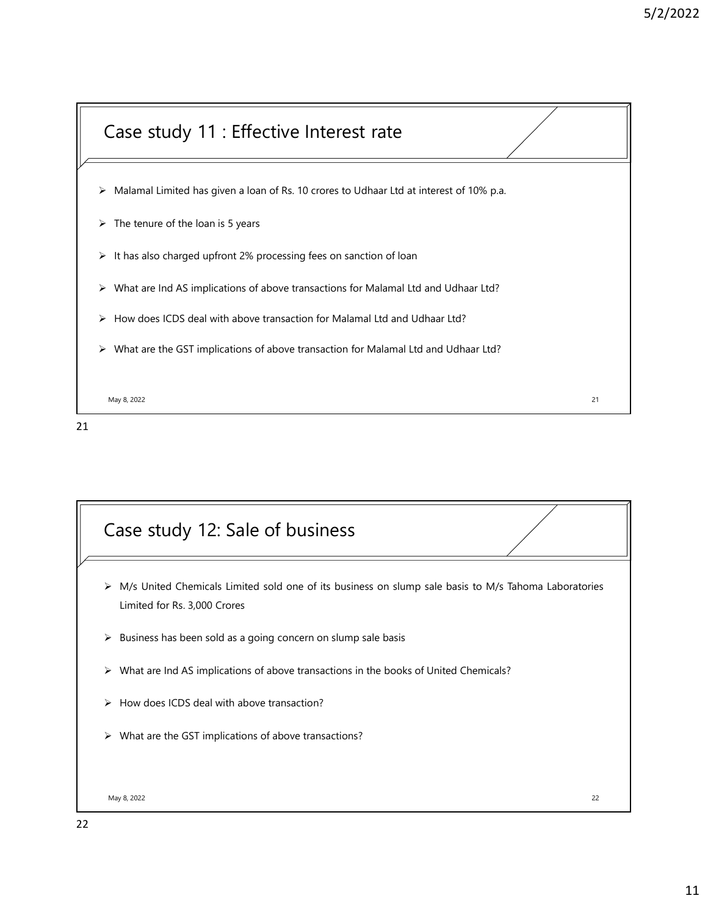

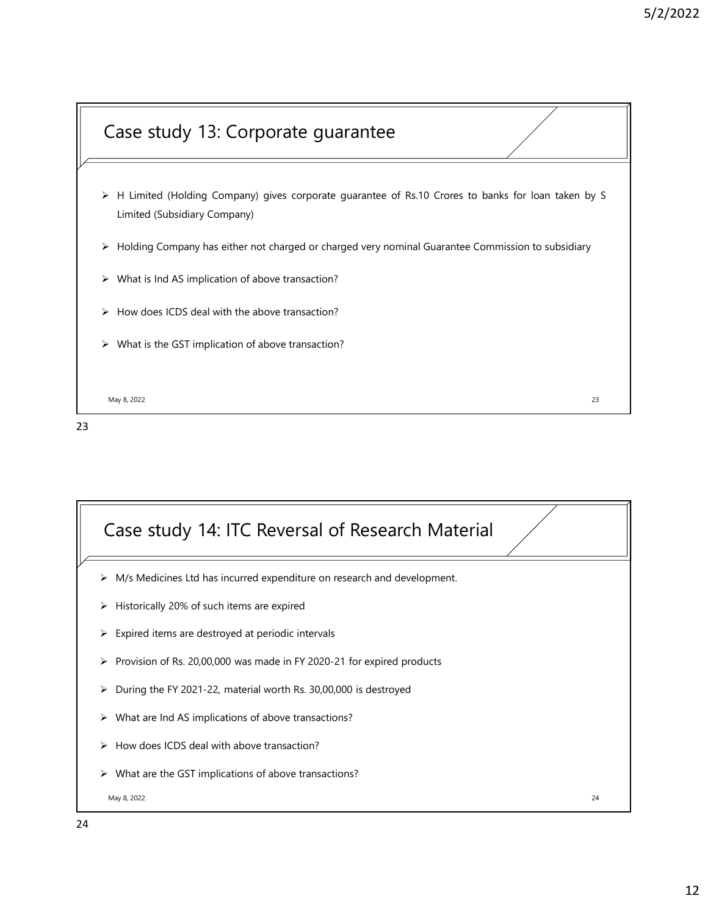

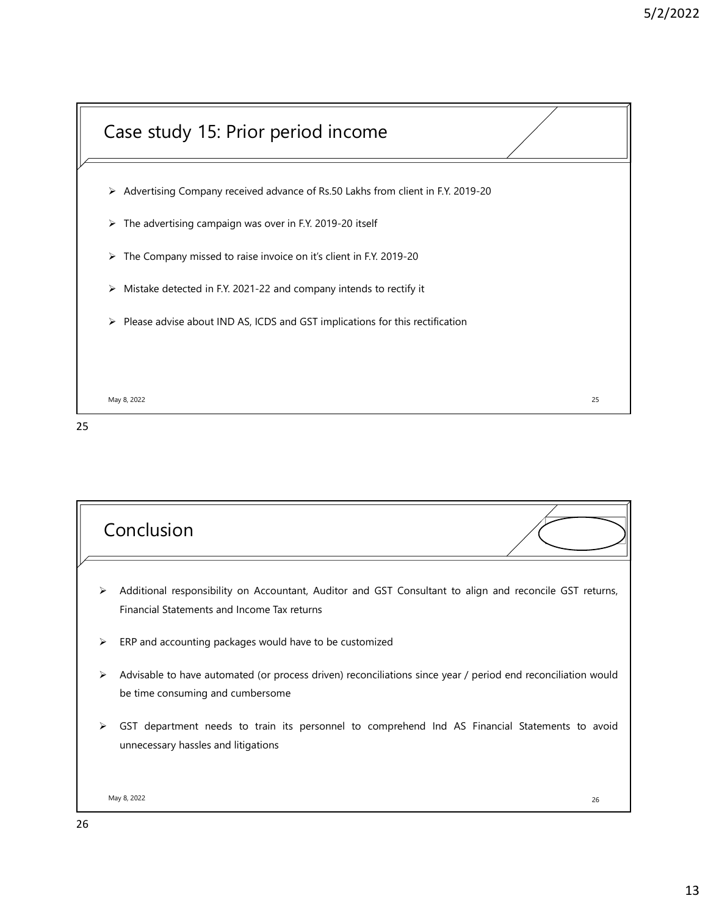

25 and 25 and 25 and 25 and 25 and 25 and 25 and 26 and 26 and 26 and 26 and 26 and 26 and 26 and 26 and 26 an